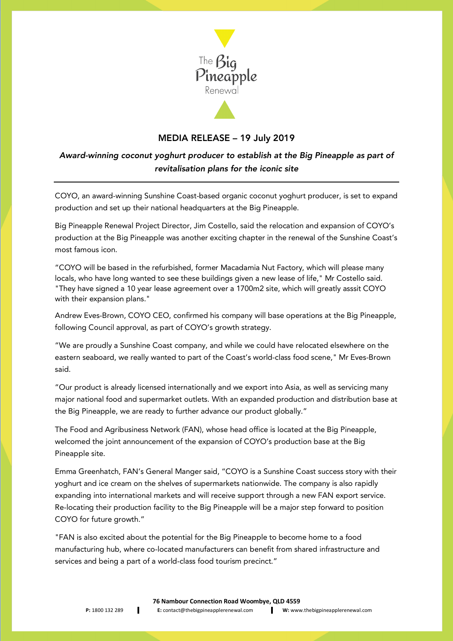

## MEDIA RELEASE – 19 July 2019

## *Award-winning coconut yoghurt producer to establish at the Big Pineapple as part of revitalisation plans for the iconic site*

COYO, an award-winning Sunshine Coast-based organic coconut yoghurt producer, is set to expand production and set up their national headquarters at the Big Pineapple.

Big Pineapple Renewal Project Director, Jim Costello, said the relocation and expansion of COYO's production at the Big Pineapple was another exciting chapter in the renewal of the Sunshine Coast's most famous icon.

"COYO will be based in the refurbished, former Macadamia Nut Factory, which will please many locals, who have long wanted to see these buildings given a new lease of life," Mr Costello said. "They have signed a 10 year lease agreement over a 1700m2 site, which will greatly asssit COYO with their expansion plans."

Andrew Eves-Brown, COYO CEO, confirmed his company will base operations at the Big Pineapple, following Council approval, as part of COYO's growth strategy.

"We are proudly a Sunshine Coast company, and while we could have relocated elsewhere on the eastern seaboard, we really wanted to part of the Coast's world-class food scene," Mr Eves-Brown said.

"Our product is already licensed internationally and we export into Asia, as well as servicing many major national food and supermarket outlets. With an expanded production and distribution base at the Big Pineapple, we are ready to further advance our product globally."

The Food and Agribusiness Network (FAN), whose head office is located at the Big Pineapple, welcomed the joint announcement of the expansion of COYO's production base at the Big Pineapple site.

Emma Greenhatch, FAN's General Manger said, "COYO is a Sunshine Coast success story with their yoghurt and ice cream on the shelves of supermarkets nationwide. The company is also rapidly expanding into international markets and will receive support through a new FAN export service. Re-locating their production facility to the Big Pineapple will be a major step forward to position COYO for future growth."

"FAN is also excited about the potential for the Big Pineapple to become home to a food manufacturing hub, where co-located manufacturers can benefit from shared infrastructure and services and being a part of a world-class food tourism precinct."

**76 Nambour Connection Road Woombye, QLD 4559**